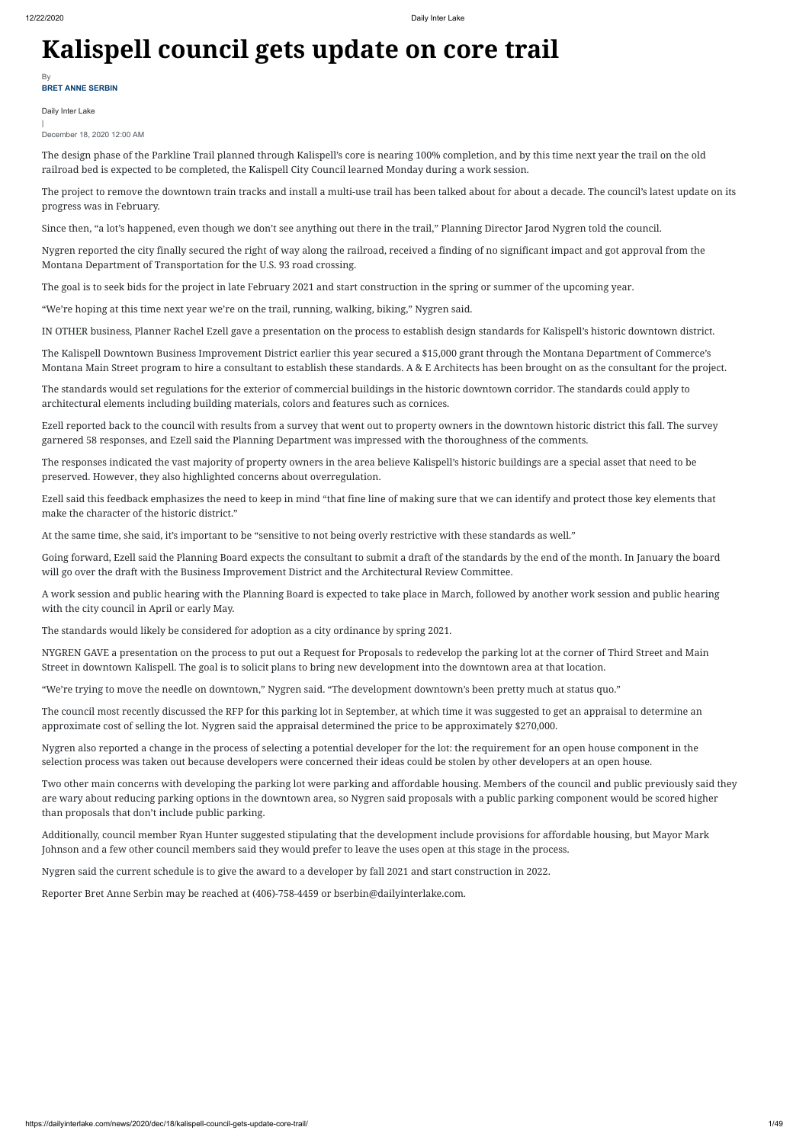## **Kalispell council gets update on core trail**

Daily Inter Lake

| December 18, 2020 12:00 AM

The design phase of the Parkline Trail planned through Kalispell's core is nearing 100% completion, and by this time next year the trail on the old railroad bed is expected to be completed, the Kalispell City Council learned Monday during a work session.

The project to remove the downtown train tracks and install a multi-use trail has been talked about for about a decade. The council's latest update on its progress was in February.

Since then, "a lot's happened, even though we don't see anything out there in the trail," Planning Director Jarod Nygren told the council.

Nygren reported the city finally secured the right of way along the railroad, received a finding of no significant impact and got approval from the Montana Department of Transportation for the U.S. 93 road crossing.

The goal is to seek bids for the project in late February 2021 and start construction in the spring or summer of the upcoming year.

"We're hoping at this time next year we're on the trail, running, walking, biking," Nygren said.

IN OTHER business, Planner Rachel Ezell gave a presentation on the process to establish design standards for Kalispell's historic downtown district.

The Kalispell Downtown Business Improvement District earlier this year secured a \$15,000 grant through the Montana Department of Commerce's Montana Main Street program to hire a consultant to establish these standards. A & E Architects has been brought on as the consultant for the project.

The standards would set regulations for the exterior of commercial buildings in the historic downtown corridor. The standards could apply to architectural elements including building materials, colors and features such as cornices.

Ezell reported back to the council with results from a survey that went out to property owners in the downtown historic district this fall. The survey garnered 58 responses, and Ezell said the Planning Department was impressed with the thoroughness of the comments.

The responses indicated the vast majority of property owners in the area believe Kalispell's historic buildings are a special asset that need to be preserved. However, they also highlighted concerns about overregulation.

Ezell said this feedback emphasizes the need to keep in mind "that fine line of making sure that we can identify and protect those key elements that make the character of the historic district."

**BRET ANNE SERBIN** By

At the same time, she said, it's important to be "sensitive to not being overly restrictive with these standards as well."

Going forward, Ezell said the Planning Board expects the consultant to submit a draft of the standards by the end of the month. In January the board will go over the draft with the Business Improvement District and the Architectural Review Committee.

A work session and public hearing with the Planning Board is expected to take place in March, followed by another work session and public hearing with the city council in April or early May.

The standards would likely be considered for adoption as a city ordinance by spring 2021.

NYGREN GAVE a presentation on the process to put out a Request for Proposals to redevelop the parking lot at the corner of Third Street and Main Street in downtown Kalispell. The goal is to solicit plans to bring new development into the downtown area at that location.

"We're trying to move the needle on downtown," Nygren said. "The development downtown's been pretty much at status quo."

The council most recently discussed the RFP for this parking lot in September, at which time it was suggested to get an appraisal to determine an approximate cost of selling the lot. Nygren said the appraisal determined the price to be approximately \$270,000.

Nygren also reported a change in the process of selecting a potential developer for the lot: the requirement for an open house component in the selection process was taken out because developers were concerned their ideas could be stolen by other developers at an open house.

Two other main concerns with developing the parking lot were parking and affordable housing. Members of the council and public previously said they are wary about reducing parking options in the downtown area, so Nygren said proposals with a public parking component would be scored higher than proposals that don't include public parking.

Additionally, council member Ryan Hunter suggested stipulating that the development include provisions for affordable housing, but Mayor Mark Johnson and a few other council members said they would prefer to leave the uses open at this stage in the process.

Nygren said the current schedule is to give the award to a developer by fall 2021 and start construction in 2022.

Reporter Bret Anne Serbin may be reached at (406)-758-4459 or bserbin@dailyinterlake.com.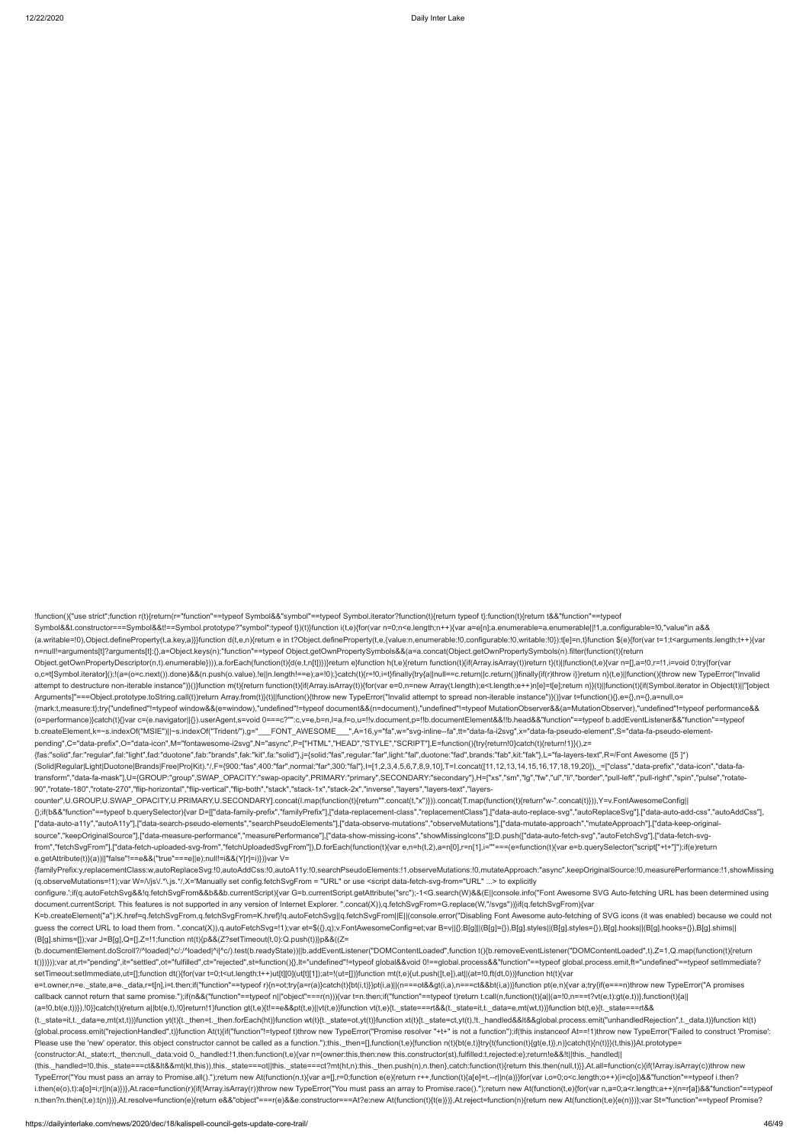!function(){"use strict";function r(t){return(r="function"==typeof Symbol&&"symbol"==typeof Symbol.iterator?function(t){return typeof t}:function(t){return t&&"function"==typeof Symbol&&t.constructor===Symbol&&t!==Symbol.prototype?"symbol":typeof t})(t)}function i(t,e){for(var n=0;n<e.length;n++){var a=e[n];a.enumerable=a.enumerable||!1,a.configurable=!0,"value"in a&& (a.writable=!0),Object.defineProperty(t,a.key,a)}}function d(t,e,n){return e in t?Object.defineProperty(t,e,{value:n,enumerable:!0,configurable:!0,writable:!0}):t[e]=n,t}function \$(e){for(var t=1;t<arguments.length;t++){var n=null!=arguments[t]?arguments[t]:{},a=Object.keys(n);"function"==typeof Object.getOwnPropertySymbols&&(a=a.concat(Object.getOwnPropertySymbols(n).filter(function(t){return Object.getOwnPropertyDescriptor(n,t).enumerable}))),a.forEach(function(t){d(e,t,n[t])})}return e}function h(t,e){return function(t){if(Array.isArray(t))return t}(t)||function(t,e){var n=[],a=!0,r=!1,i=void 0;try{for(var o,c=t[Symbol.iterator]();!(a=(o=c.next()).done)&&(n.push(o.value),!e||n.length!==e);a=!0);}catch(t){r=!0,i=t}finally{try{a||null==c.return||c.return()}finally{fr(r)throw i}}return n}(t,e)||function(){throw new TypeError("I attempt to destructure non-iterable instance")}()}function m(t){return function(t){if(Array.isArray(t)){for(var e=0,n=new Array(t.length);e<t.length;e++)n[e]=t[e];return n}}(t)||function(t){if(Symbol.iterator in Object(t)| Arguments]"===Object.prototype.toString.call(t))return Array.from(t)}(t)||function(){throw new TypeError("Invalid attempt to spread non-iterable instance")}()}var t=function(){},e={},n={},a=null,o= {mark:t,measure:t};try{"undefined"!=typeof window&&(e=window),"undefined"!=typeof document&&(n=document),"undefined"!=typeof MutationObserver&&(a=MutationObserver),"undefined"!=typeof performance&& (o=performance)}catch(t){}var c=(e.navigator||{}).userAgent,s=void 0===c?"":c,v=e,b=n,l=a,f=o,u=!!v.document,p=!!b.documentElement&&!!b.head&&"function"==typeof b.addEventListener&&"function"==typeof b.createElement,k=~s.indexOf("MSIE")||~s.indexOf("Trident/"),g="\_\_\_FONT\_AWESOME\_\_\_",A=16,y="fa",w="svg-inline--fa",tt="data-fa-i2svg",x="data-fa-pseudo-element",S="data-fa-pseudo-elementpending",C="data-prefix",O="data-icon",M="fontawesome-i2svg",N="async",P=["HTML","HEAD","STYLE","SCRIPT"],E=function(){try{return!0}catch(t){return!1}}(),z= {fas:"solid",far:"regular",fal:"light",fad:"duotone",fab:"brands",fak:"kit",fa:"solid"},j={solid:"fas",regular:"far",light:"fal",duotone:"fad",brands:"fab",kit:"fak"},L="fa-layers-text",R=/Font Awesome ([5 ]\*) (Solid|Regular|Light|Duotone|Brands|Free|Pro|Kit).\*/,F={900:"fas",400:"far",normal:"far",300:"fal"},I=[1,2,3,4,5,6,7,8,9,10],T=I.concat([11,12,13,14,15,16,17,18,19,20]),\_=["class","data-prefix","data-icon","data-fatransform","data-fa-mask"],U={GROUP:"group",SWAP\_OPACITY:"swap-opacity",PRIMARY:"primary",SECONDARY:"secondary"},H=["xs","sm","lg","fw","ul","li","border","pull-left","pull-right","spin","pulse","rotate-90","rotate-180","rotate-270","flip-horizontal","flip-vertical","flip-both","stack","stack-1x","stack-2x","inverse","layers","layers-text","layerscounter",U.GROUP,U.SWAP\_OPACITY,U.PRIMARY,U.SECONDARY].concat(I.map(function(t){return"".concat(t,"x")})).concat(T.map(function(t){return"w-".concat(t)})),Y=v.FontAwesomeConfig|| {};if(b&&"function"==typeof b.querySelector){var D=[["data-family-prefix","familyPrefix"],["data-replacement-class","replacementClass"],["data-auto-replace-svg","autoReplaceSvg"],["data-auto-add-css","autoAddCss"], ["data-auto-a11y","autoA11y"],["data-search-pseudo-elements","searchPseudoElements"],["data-observe-mutations","observeMutations"],["data-mutate-approach","mutateApproach"],["data-keep-originalsource","keepOriginalSource"],["data-measure-performance","measurePerformance"],["data-show-missing-icons","showMissingIcons"]];D.push(["data-auto-fetch-svg","autoFetchSvg"],["data-fetch-svgfrom","fetchSvgFrom"],["data-fetch-uploaded-svg-from","fetchUploadedSvgFrom"]),D.forEach(function(t){var e,n=h(t,2),a=n[0],r=n[1],i=""===(e=function(t){var e=b.querySelector("script["+t+"]");if(e)return e.getAttribute(t)}(a))||"false"!==e&&("true"===e||e);null!=i&&(Y[r]=i)})}var V=

K=b.createElement("a");K.href=q.fetchSvgFrom,q.fetchSvgFrom=K.href}!q.autoFetchSvg||q.fetchSvgFrom||E||(console.error("Disabling Font Awesome auto-fetching of SVG icons (it was enabled) because we could not guess the correct URL to load them from. ".concat(X)),q.autoFetchSvg=!1);var et=\$({},q);v.FontAwesomeConfig=et;var B=v||{};B[g]||(B[g]={}),B[g].styles||(B[g].styles={}),B[g].hooks||(B[g].hooks||(B[g].hooks={}),B[g].shims|| (B[g].shims=[]);var J=B[g],Q=[],Z=!1;function nt(t){p&&(Z?setTimeout(t,0):Q.push(t))}p&&((Z=

{familyPrefix:y,replacementClass:w,autoReplaceSvg:!0,autoAddCss:!0,autoA11y:!0,searchPseudoElements:!1,observeMutations:!0,mutateApproach:"async",keepOriginalSource:!0,measurePerformance:!1,showMissing (q.observeMutations=!1);var W=/\/js\/.\*\.js.\*/,X='Manually set config.fetchSvgFrom = "URL" or use <script data-fetch-svg-from="URL" ...> to explicitly

configure.':if(g.autoFetchSvg&&!g.fetchSvgFrom&&b&&b.currentScript){var G=b.currentScript.getAttribute("src");-1<G.search(W)&&(Ellconsole.info("Font Awesome SVG Auto-fetching URL has been determined using document.currentScript. This features is not supported in any version of Internet Explorer. ".concat(X)),q.fetchSvgFrom=G.replace(W,"/svgs"))}if(q.fetchSvgFrom){var

(b.documentElement.doScroll?/^loaded|^c/:/^loaded|^i|^c/).test(b.readyState))||b.addEventListener("DOMContentLoaded",function t(){b.removeEventListener("DOMContentLoaded",t),Z=1,Q.map(function(t){return t()})}));var at,rt="pending",it="settled",ot="fulfilled",ct="rejected",st=function(){},lt="undefined"!=typeof global&&void 0!==global.process&&"function"==typeof global.process.emit,ft="undefined"==typeof setImmediate? setTimeout:setImmediate,ut=[];function dt(){for(var t=0;t<ut.length;t++)ut[t][0](ut[t][1]);at=!(ut=[])}function mt(t,e){ut.push([t,e]),at||(at=!0,ft(dt,0))}function ht(t){var e=t.owner,n=e.\_state,a=e.\_data,r=t[n],i=t.then;if("function"==typeof r){n=ot;try{a=r(a)}catch(t){bt(i,t)}}pt(i,a)||(n===ot&&pt(i,a),n===ct&&bt(i,a))}function pt(e,n){var a;try{if(e===n)throw new TypeError("A promises callback cannot return that same promise.");if(n&&("function"==typeof n||"object"===r(n))){var t=n.then;if("function"==typeof t)return t.call(n,function(t){a||(a=!0,n===t?vt(e,t):gt(e,t))},function(t){a|| (a=!0,bt(e,t))}),!0}}catch(t){return a||bt(e,t),!0}return!1}function gt(t,e){t!==e&&pt(t,e)||vt(t,e)}function vt(t,e){t.\_state===rt&&(t.\_state=it,t.\_data=e,mt(wt,t))}function bt(t,e){t.\_state===rt&& (t.\_state=it,t.\_data=e,mt(xt,t))}function yt(t){t.\_then=t.\_then.forEach(ht)}function wt(t){t.\_state=ot,yt(t)}function xt(t){t.\_state=ct,yt(t)}. then=t,\_then.forEach(ht)}function wt(t){t.\_state=ct,yt(t)}function xt(t){t.\_st {global.process.emit("rejectionHandled",t)}function At(t){if("function"!=typeof t)throw new TypeError("Promise resolver "+t+" is not a function");if(this instanceof At==!1)throw new TypeError("Failed to construct 'Promise': Please use the 'new' operator, this object constructor cannot be called as a function.");this.\_then=[],function(t,e){function n(t){bt(e,t)}try{t(function(t){gt(e,t)},n)}catch(t){n(t)}}(t,this)}At.prototype= {constructor:At,\_state:rt,\_then:null,\_data:void 0,\_handled:!1,then:function(t,e){var n={owner:this,then:new this.constructor(st),fulfilled:t,rejected:e};return!e&&!t||this.\_handled|| (this.\_handled=!0,this.\_state===ct&&lt&&mt(kt,this)),this.\_state===ot||this.\_state===ct?mt(ht,n):this.\_then.push(n),n.then},catch:function(t){return this.then(null,t)}},At.all=function(c){if(!Array.isArray(c))throw new TypeError("You must pass an array to Promise.all().");return new At(function(n,t){var a=[],r=0;function e(e){return r++,function(t){a[e]=t,--r||n(a)}}for(var i,o=0;o<c.length;o++)(i=c[o])&&"function"==typeof i.then? i.then(e(o),t):a[o]=i;r||n(a)})},At.race=function(r){if(!Array.isArray(r))throw new TypeError("You must pass an array to Promise.race().");return new At(function(t,e){for(var n,a=0;a<r.length;a++)(n=r[a])&&"function"==type n.then?n.then(t,e):t(n)})},At.resolve=function(e){return e&&"object"===r(e)&&e.constructor===At?e:new At(function(t){t(e)})},At.reject=function(n){return new At(function(t,e){e(n)})};var St="function"==typeof Promise?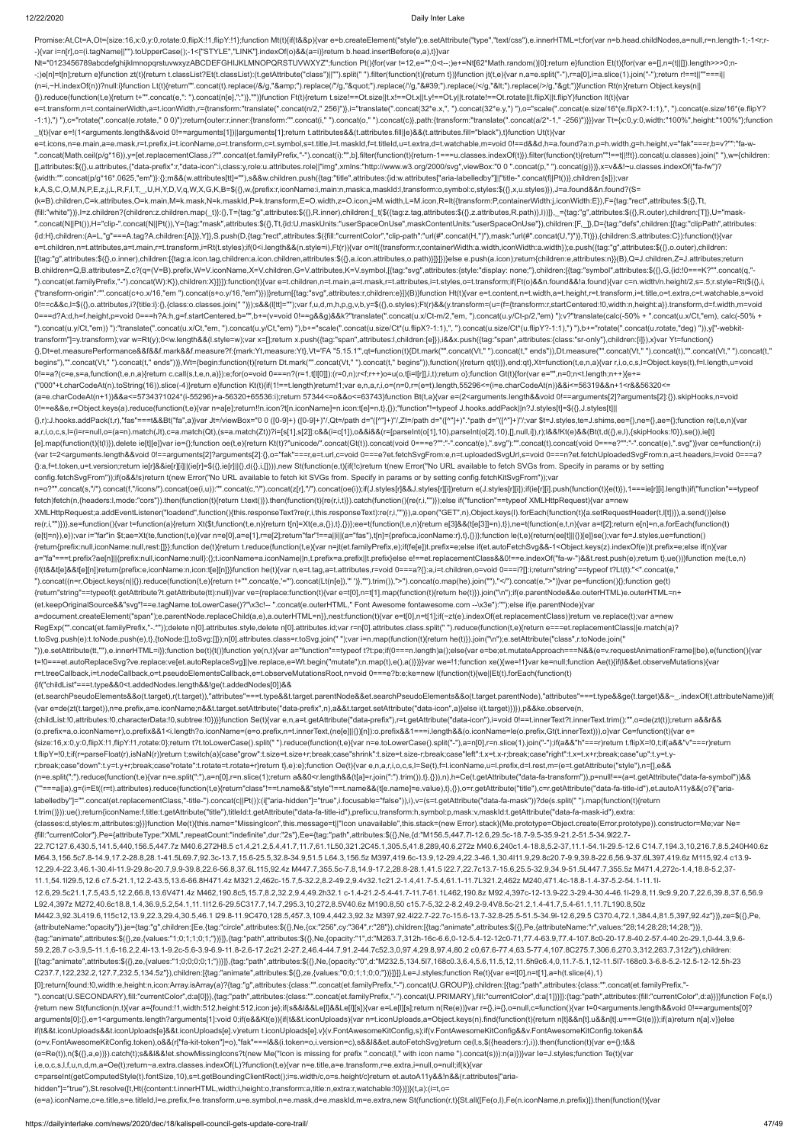-){var i=n[r],o=(i.tagName||"").toUpperCase();-1<["STYLE","LINK"].indexOf(o)&&(a=i)}return b.head.insertBefore(e,a),t}}var Nt="0123456789abcdefghijklmnopqrstuvwxyzABCDEFGHIJKLMNOPQRSTUVWXYZ";function Pt(){for(var t=12,e="";0<t--;)e+=Nt[62\*Math.random()|0];return e}function Et(t){for(var e=[],n=(t||[]).length>>>0;n--;)e[n]=t[n];return e}function zt(t){return t.classList?Et(t.classList):(t.getAttribute("class")||"").split(" ").filter(function(t){return t})}function jt(t,e){var n,a=e.split("-"),r=a[0],i=a.slice(1).join("-");return r!==

Promise:At,Ct=A,Ot={size:16,x:0,y:0,rotate:0,flipX:!1,flipY:!1};function Mt(t){if(t&&p){var e=b.createElement("style");e.setAttribute("type","text/css"),e.innerHTML=t;for(var n=b.head.childNodes,a=null,r=n.length-1;-1<r;r-

(n=i,~H.indexOf(n))?null:i}function Lt(t){return"".concat(t).replace(/&/g,"&").replace(/"/g,""").replace(//g,"'").replace(/</g,"&lt;").replace(/>/g,"&gt;")}function Rt(n){return Object.keys(n|| {}).reduce(function(t,e){return t+"".concat(e,": ").concat(n[e],";")},"")}function Ft(t){return t.size!==Ot.size||t.x!==Ot.x||t.y!==Ot.y||t.rotate!==Ot.rotate||t.flipX||t.flipY}function It(t){var

e=t.transform,n=t.containerWidth,a=t.iconWidth,r={transform:"translate(".concat(n/2," 256)")},i="translate(".concat(32\*e.x,", ").concat(32\*e.y,") "),o="scale(".concat(e.size/16\*(e.flipX?-1:1),", ").concat(e.size/16\*(e.flip -1:1),") "),c="rotate(".concat(e.rotate," 0 0)");return{outer:r,inner:{transform:"".concat(i," ").concat(o," ").concat(c)},path:{transform:"translate(".concat(a/2\*-1," -256)"}}}var Tt={x:0,y:0,width:"100%",height:"100%"};f \_t(t){var e=!(1<arguments.length&&void 0!==arguments[1])||arguments[1];return t.attributes&&(t.attributes.fill||e)&&(t.attributes.fill="black"),t}function Ut(t){var

k,A,S,C,O,M,N,P,E,z,j,L,R,F,I,T,\_,U,H,Y,D,V,q,W,X,G,K,B=\$({},w,{prefix:r,iconName:i,main:n,mask:a,maskId:l,transform:o,symbol:c,styles:\$({},x,u.styles)}),J=a.found&&n.found?(S= (k=B).children,C=k.attributes,O=k.main,M=k.mask,N=k.maskId,P=k.transform,E=O.width,z=O.icon,j=M.width,L=M.icon,R=It({transform:P,containerWidth:j,iconWidth:E}),F={tag:"rect",attributes:\$({},Tt, {fill:"white"})},l=z.children?{children:z.children.map(\_t)}:{},T={tag:"g",attributes:\$({},R.inner),children:[\_t(\$({tag:z.tag,attributes:\$({},R.attributes:\$({},R.attributes:\$({},attributes:\$({},R.attributes:\$({},R.outer),ch ".concat(N||Pt()),H="clip-".concat(N||Pt()),Y={tag:"mask",attributes:\$({},Tt,{id:U,maskUnits:"userSpaceOnUse",maskContentUnits:"userSpaceOnUse"}),children:[F,\_]},D={tag:"defs",children:[{tag:"clipPath",attributes: {id:H},children:(A=L,"g"===A.tag?A.children:[A])},Y]},S.push(D,{tag:"rect",attributes:\$({fill:"currentColor","clip-path":"url(#".concat(H,")"),mask:"url(#".concat(U,")")},Tt)}),{children:S,attributes:C}):function(t){var e=t.children,n=t.attributes,a=t.main,r=t.transform,i=Rt(t.styles);if(0<i.length&&(n.style=i),Ft(r)){var o=It({transform:r,containerWidth:a.width,iconWidth:a.width});e.push({tag:"g",attributes:\$({},o.outer),children: [{tag:"g",attributes:\$({},o.inner),children:[{tag:a.icon.tag,children:a.icon.children,attributes:\$({},a.icon.attributes,o.path)}]}]})}else e.push(a.icon);return{children:e,attributes:n}}(B),Q=J.children,Z=J.attributes;return B.children=Q,B.attributes=Z,c?(q=(V=B).prefix,W=V.iconName,X=V.children,G=V.attributes,K=V.symbol,[{tag:"svg",attributes:{style:"display: none;"},children:[{tag:"symbol",attributes:\$({},G,{id:!0===K?"".concat(q,"- ").concat(et.familyPrefix,"-").concat(W):K}),children:X}]}]):function(t){var e=t.children,n=t.main,a=t.mask,r=t.attributes,i=t.styles,o=t.transform;if(Ft(o)&&n.found&&!a.found){var c=n.width/n.height/2,s=.5;r.style=Rt(\${{} {"transform-origin":"".concat(c+o.x/16,"em ").concat(s+o.y/16,"em")}))}return[{tag:"svg",attributes:r,children:e}]}(B)}function Ht(t){var e=t.content,n=t.width,a=t.height,r=t.transform,i=t.title,o=t.extra,c=t.watchable,s=v 0!==c&&c,l=\$({},o.attributes,i?{title:i}:{},{class:o.classes.join(" ")});s&&(l[tt]="");var f,u,d,m,h,p,g,v,b,y=\$({},o.styles);Ft(r)&&(y.transform=(u=(f={transform:r,startCentered:!0,width:n,height:a}).transform,d=f.width,m 0===d?A:d,h=f.height,p=void 0===h?A:h,g=f.startCentered,b="",b+=(v=void 0!==g&&g)&&k?"translate(".concat(u.x/Ct-m/2,"em, ").concat(u.y/Ct-p/2,"em) "):v?"translate(calc(-50% + ".concat(u.x/Ct,"em), calc(-50% +

e=t.icons,n=e.main,a=e.mask,r=t.prefix,i=t.iconName,o=t.transform,c=t.symbol,s=t.title,l=t.maskId,f=t.titleId,u=t.extra,d=t.watchable,m=void 0!==d&&d,h=a.found?a:n,p=h.width,g=h.height,v="fak"===r,b=v?"":"fa-w- ".concat(Math.ceil(p/g\*16)),y=[et.replacementClass,i?"".concat(et.familyPrefix,"-").concat(i):"",b].filter(function(t){return-1===u.classes.indexOf(t)}).filter(function(t){return"!==t|!!!!}).concat(u.classes).join(""),w={c [],attributes:\$({},u.attributes,{"data-prefix":r,"data-icon":i,class:y,role:u.attributes.role||"img",xmlns:"http://www.w3.org/2000/svg",viewBox:"0 0 ".concat(p," ").concat(g)})},x=v&&!~u.classes.indexOf("fa-fw")? {width:"".concat(p/g\*16\*.0625,"em")}:{};m&&(w.attributes[tt]=""),s&&w.children.push({tag:"title",attributes:{id:w.attributes["aria-labelledby"]||"title-".concat(f||Pt())},children:[s]});var

").concat(u.y/Ct,"em)) "):"translate(".concat(u.x/Ct,"em, ").concat(u.y/Ct,"em) "),b+="scale(".concat(u.size/Ct\*(u.flipX?-1:1),", ").concat(u.size/Ct\*(u.flipY?-1:1),") "),b+="rotate(".concat(u.rotate,"deg) ")),y["-webkittransform"]=y.transform);var w=Rt(y);0<w.length&&(l.style=w);var x=[];return x.push({tag:"span",attributes:l,children:[e]}),i&&x.push({tag:"span",attributes:{class:"sr-only"},children:[i]}),x}var Yt=function() {},Dt=et.measurePerformance&&f&&f.mark&&f.measure?f:{mark:Yt,measure:Yt},Vt='FA "5.15.1"',qt=function(t){Dt.mark("".concat(Vt," ").concat(t," ends")),Dt.measure("".concat(Vt," ").concat(t),"".concat(Vt," ").concat(t," begins"),"".concat(Vt," ").concat(t," ends"))},Wt={begin:function(t){return Dt.mark("".concat(Vt," ").concat(t," begins")),function(){return qt(t)}},end:qt},Xt=function(t,e,n,a){var r,i,o,c,s,l=Object.keys(t),f=l.length,u= 0!==a?(c=e,s=a,function(t,e,n,a){return c.call(s,t,e,n,a)}):e;for(o=void 0===n?(r=1,t[l[0]]):(r=0,n);r<f;r++)o=u(o,t[i=l[r]],i,t);return o};function Gt(t){for(var e="",n=0;n<t.length;n++){e+=

(a=e.charCodeAt(n+1))&&a<=57343?1024\*(i-55296)+a-56320+65536:i);return 57344<=o&&o<=63743}function Bt(t,a){var e=(2<arguments.length&&void 0!==arguments[2]?arguments[2]:{}).skipHooks,n=void 0!==e&&e,r=Object.keys(a).reduce(function(t,e){var n=a[e];return!!n.icon?t[n.iconName]=n.icon:t[e]=n,t},{});"function"!=typeof J.hooks.addPack||n?J.styles[t]=\$({},J.styles[t]||

 $\{1, r\}$ ).hooks.addPack(t,r),"fas"===t&&Bt("fa",a)}var Jt=/viewBox="0 0 ([0-9]+)"(,Qt=/path d="([^"]+)"/,Zt=/path d="([^"]+)".\*path d="([^"]+)"/;var \$t=J.styles,te=J.shims,ee={},ne={},ae={};function re(t,e,n){var (f(e,n) a,r,i,o,c,s,l=(i=r=null,o=(a=n).match(Jt),c=a.match(Qt),(s=a.match(Zt))?i=[s[1],s[2]]:c&&(i=c[1]),o&&i&&(r=[parseInt(o[1],10),parseInt(o[2],10),[],null,i]),r);l&&!Kt(e)&&(Bt(t,d({},e,l),{skipHooks:!0}),se()),ie[t] [e].map(function(t){t(l)}),delete ie[t][e]}var ie={};function oe(t,e){return Kt(t)?"unicode/".concat(Gt(t)).concat(void 0===e?"":"-".concat(e),".svg"):"".concat(t).concat(toid 0===e?"":"-".concat(e),".svg")}var ce=function {var t=2<arguments.length&&void 0!==arguments[2]?arguments[2]:{},o="fak"===r,e=t.url,c=void 0===e?et.fetchSvgFrom:e,n=t.uploadedSvgUrl,s=void 0===n?et.fetchUploadedSvgFrom:n,a=t.headers,l=void 0===a? {}:a,f=t.token,u=t.version;return ie[r]&&ie[r][i]||(ie[r]=\$({},ie[r]||{},d({},i,[]))),new St(function(e,t){if(!c)return t(new Error("No URL available to fetch SVGs from. Specify in params or by setting config.fetchSvgFrom"));if(o&&!s)return t(new Error("No URL available to fetch kit SVGs from. Specify in params or by setting config.fetchKitSvgFrom"));var

n=o?"".concat(s,"/").concat(f,"/icons/").concat(6(i,iu)):"".concat(oe(i,u)):"".concat(c,"/").concat(z[r],"/").concat(oe(i));if(J.styles[r]&&J.styles[r][i])return e(J.styles[r][i]);if(ie[r][i].push(function({(e(t)}),} ===ie fetch)fetch(n,{headers:l,mode:"cors"}).then(function(t){return t.text()}).then(function(t){re(r,i,t)}).catch(function(){re(r,i,"")});else if("function"==typeof XMLHttpRequest){var a=new

XMLHttpRequest;a.addEventListener("loadend",function(){this.responseText?re(r,i,this.responseText):re(r,i,"")}),a.open("GET",n),Object.keys(l).forEach(function(t){a.setRequestHeader(t,l[t])}),a.send()}else re(r,i,"")})},se=function(){var t=function(a){return Xt(\$t,function(t,e,n){return t[n]=Xt(e,a,{}),t},{})};ee=t(function(t,e,n){return e[3]&&(t[e[3]]=n),t}),ne=t(function(e,t,n){var a=t[2];return e[n]=n,a.forEach(function(t) {e[t]=n}),e});var i="far"in \$t;ae=Xt(te,function(t,e){var n=e[0],a=e[1],r=e[2];return"far"!==a||i||(a="fas"),t[n]={prefix:a,iconName:r},t},{})};function le(t,e){return(ee[t]||{})[e]}se();var fe=J.styles,ue=function() {return{prefix:null,iconName:null,rest:[]}};function de(t){return t.reduce(function(t,e){var n=jt(et.familyPrefix,e);if(fe[e])t.prefix=e;else if(et.autoFetchSvg&&-1<Object.keys(z).indexOf(e))t.prefix=e;else if(n){var a="fa"===t.prefix?ae[n]||{prefix:null,iconName:null}:{};t.iconName=a.iconName||n,t.prefix=a.prefix||t.prefix>else e!==et.replacementClass&&0!==e.indexOf("fa-w-")&&t.rest.push(e);return t},ue())}function me(t,e,n)

("000"+t.charCodeAt(n).toString(16)).slice(-4)}return e}function Kt(t){if(1!==t.length)return!1;var e,n,a,r,i,o=(n=0,r=(e=t).length,55296<=(i=e.charCodeAt(n))&&i<=56319&&n+1<r&&56320<=

{if(t&&t[e]&&t[e][n])return{prefix:e,iconName:n,icon:t[e][n]}}function he(t){var n,e=t.tag,a=t.attributes,r=void 0===a?{}:a,i=t.children,o=void 0===i?[]:i;return"string"==typeof t?Lt(t):"<".concat(e," ").concat((n=r,Object.keys(n||{}).reduce(function(t,e){return t+"".concat(e,'="').concat(Lt(n[e]),'" ')},"").trim()),">").concat(o.map(he).join(""),"</").concat(e,">")}var pe=function(){};function ge(t)

{return"string"==typeof(t.getAttribute?t.getAttribute(tt):null)}var ve={replace:function(t){var e=t[0],n=t[1].map(function(t){return he(t)}).join("\n");if(e.parentNode&&e.outerHTML)e.outerHTML=n+ (et.keepOriginalSource&&"svg"!==e.tagName.toLowerCase()?"\x3c!-- ".concat(e.outerHTML," Font Awesome fontawesome.com --\x3e"):"");else if(e.parentNode){var

a=document.createElement("span");e.parentNode.replaceChild(a,e),a.outerHTML=n}},nest:function(t){var e=t[0],n=t[1];if(~zt(e).indexOf(et.replacementClass))return ve.replace(t);var a=new RegExp("".concat(et.familyPrefix,"-.\*"));delete n[0].attributes.style,delete n[0].attributes.id;var r=n[0].attributes.class.split(" ").reduce(function(t,e){return e===et.replacementClass||e.match(a)? t.toSvg.push(e):t.toNode.push(e),t},{toNode:[],toSvg:[]});n[0].attributes.class=r.toSvg.join(" ");var i=n.map(function(t){return he(t)}).join("\n");e.setAttribute("class",r.toNode.join("

")),e.setAttribute(tt,""),e.innerHTML=i}};function be(t){t()}function ye(n,t){var a="function"==typeof t?t:pe;if(0===n.length)a();else{var e=be;et.mutateApproach===N&&(e=v.requestAnimationFrame||be),e(function(){var t=!0===et.autoReplaceSvg?ve.replace:ve[et.autoReplaceSvg]||ve.replace,e=Wt.begin("mutate");n.map(t),e(),a()})}}var we=!1;function xe(){we=!1}var ke=null;function Ae(t){if(l&&et.observeMutations){var r=t.treeCallback,i=t.nodeCallback,o=t.pseudoElementsCallback,e=t.observeMutationsRoot,n=void 0===e?b:e;ke=new l(function(t){we||Et(t).forEach(function(t)

{if("childList"===t.type&&0<t.addedNodes.length&&!ge(t.addedNodes[0])&&

(et.searchPseudoElements&&o(t.target),r(t.target)),"attributes"===t.type&&t.target.parentNode&&et.searchPseudoElements&&o(t.target.parentNode),"attributes"===t.type&&ge(t.target)&&~\_.indexOf(t.attributeName))if( {var e=de(zt(t.target)),n=e.prefix,a=e.iconName;n&&t.target.setAttribute("data-prefix",n),a&&t.target.setAttribute("data-icon",a)}else i(t.target)})}),p&&ke.observe(n, {childList:!0,attributes:!0,characterData:!0,subtree:!0})}}function Se(t){var e,n,a=t.getAttribute("data-prefix"),r=t.getAttribute("data-icon"),i=void 0!==t.innerText?t.innerText.trim():"",o=de(zt(t));return a&&r&& (o.prefix=a,o.iconName=r),o.prefix&&1<i.length?o.iconName=(e=o.prefix,n=t.innerText,(ne[e]||{})[n]):o.prefix&&1===i.length&&(o.iconName=le(o.prefix,Gt(t.innerText))),o}var Ce=function(t){var e= {size:16,x:0,y:0,flipX:!1,flipY:!1,rotate:0};return t?t.toLowerCase().split(" ").reduce(function(t,e){var n=e.toLowerCase().split("-"),a=n[0],r=n.slice(1).join("-");if(a&&"h"===r)return t.flipX=!0,t;if(a&&"v"===r)return t.flipY=!0,t;if(r=parseFloat(r),isNaN(r))return t;switch(a){case"grow":t.size=t.size+r;break;case"shrink":t.size=t.size-r;break;case"left":t.x=t.x-r;break;case"right":t.x=t.x+r;break;case"up":t.y=t.yr;break;case"down":t.y=t.y+r;break;case"rotate":t.rotate=t.rotate+r}return t},e):e};function Oe(t){var e,n,a,r,i,o,c,s,l=Se(t),f=l.iconName,u=l.prefix,d=l.rest,m=(e=t.getAttribute("style"),n=[],e&& (n=e.split(";").reduce(function(t,e){var n=e.split(":"),a=n[0],r=n.slice(1);return a&&0<r.length&&(t[a]=r.join(":").trim()),t},{})),n),h=Ce(t.getAttribute("data-fa-transform")),p=null!==(a=t.getAttribute("data-fa-symbol"))&& (""===a||a),g=(i=Et((r=t).attributes).reduce(function(t,e){return"class"!==t.name&&"style"!==t.name&&(t[e.name]=e.value),t},{}),o=r.getAttribute("title"),c=r.getAttribute("data-fa-title-id"),et.autoA11y&&(o?i["arialabelledby"]="".concat(et.replacementClass,"-title-").concat(c||Pt()):(i["aria-hidden"]="true",i.focusable="false")),i),v=(s=t.getAttribute("data-fa-mask"))?de(s.split(" ").map(function(t){return t.trim()})):ue();return{iconName:f,title:t.getAttribute("title"),titleId:t.getAttribute("data-fa-title-id"),prefix:u,transform:h,symbol:p,mask:v,maskId:t.getAttribute("data-fa-mask-id"),extra: {classes:d,styles:m,attributes:g}}}function Me(t){this.name="MissingIcon",this.message=t||"Icon unavailable",this.stack=(new Error).stack}(Me.prototype=Object.create(Error.prototype)).constructor=Me;var Ne= {fill:"currentColor"},Pe={attributeType:"XML",repeatCount:"indefinite",dur:"2s"},Ee={tag:"path",attributes:\$({},Ne,{d:"M156.5,447.7l-12.6,29.5c-18.7-9.5-35.9-21.2-51.5-34.9l22.7- 22.7C127.6,430.5,141.5,440,156.5,447.7z M40.6,272H8.5 c1.4,21.2,5.4,41.7,11.7,61.1L50,321.2C45.1,305.5,41.8,289,40.6,272z M40.6,240c1.4-18.8,5.2-37,11.1-54.1l-29.5-12.6 C14.7,194.3,10,216.7,8.5,240H40.6z

M64.3,156.5c7.8-14.9,17.2-28.8,28.1-41.5L69.7,92.3c-13.7,15.6-25.5,32.8-34.9,51.5 L64.3,156.5z M397,419.6c-13.9,12-29.4,22.3-46.1,30.4l11.9,29.8c20.7-9.9,39.8-22.6,56.9-37.6L397,419.6z M115,92.4 c13.9-

12,29.4-22.3,46.1-30.4l-11.9-29.8c-20.7,9.9-39.8,22.6-56.8,37.6L115,92.4z M447.7,355.5c-7.8,14.9-17.2,28.8-28.1,41.5 l22.7,22.7c13.7-15.6,25.5-32.9,34.9-51.5L447.7,355.5z M471.4,272c-1.4,18.8-5.2,37- 11.1,54.1l29.5,12.6 c7.5-21.1,12.2-43.5,13.6-66.8H471.4z M321.2,462c-15.7,5-32.2,8.2-49.2,9.4v32.1c21.2-1.4,41.7-5.4,61.1-11.7L321.2,462z M240,471.4c-18.8-1.4-37-5.2-54.1-11.1l-12.6,29.5c21.1,7.5,43.5,12.2,66.8,13.6V471.4z M462,190.8c5,15.7,8.2,32.2,9.4,49.2h32.1 c-1.4-21.2-5.4-41.7-11.7-61.1L462,190.8z M92.4,397c-12-13.9-22.3-29.4-30.4-46.1l-29.8,11.9c9.9,20.7,22.6,39.8,37.6,56.9 L92.4,397z M272,40.6c18.8,1.4,36.9,5.2,54.1,11.1l12.6-29.5C317.7,14.7,295.3,10,272,8.5V40.6z M190.8,50 c15.7-5,32.2-8.2,49.2-9.4V8.5c-21.2,1.4-41.7,5.4-61.1,11.7L190.8,50z M442.3,92.3L419.6,115c12,13.9,22.3,29.4,30.5,46.1 l29.8-11.9C470,128.5,457.3,109.4,442.3,92.3z M397,92.4l22.7-22.7c-15.6-13.7-32.8-25.5-51.5-34.9l-12.6,29.5 C370.4,72.1,384.4,81.5,397,92.4z"})},ze=\$({},Pe, {attributeName:"opacity"}),je={tag:"g",children:[Ee,{tag:"circle",attributes:\$({},Ne,{cx:"256",cy:"364",r:"28"}),children:[{tag:"animate",attributes:\$({},Pe,{attributeName:"r",values:"28;14;28;28;14;28;"})}, {tag:"animate",attributes:\$({},ze,{values:"1;0;1;1;0;1;"})}]},{tag:"path",attributes:\$({},Ne,{opacity:"1",d:"M263.7,312h-16c-6.6,0-12-5.4-12-12c0-71,77.4-63.9,77.4-107.8c0-20-17.8-40.2-57.4-40.2c-29.1,0-44.3,9.6- 59.2,28.7 c-3.9,5-11.1,6-16.2,2.4l-13.1-9.2c-5.6-3.9-6.9-11.8-2.6-17.2c21.2-27.2,46.4-44.7,91.2-44.7c52.3,0,97.4,29.8,97.4,80.2 c0,67.6-77.4,63.5-77.4,107.8C275.7,306.6,270.3,312,263.7,312z"}),children: [{tag:"animate",attributes:\$({},ze,{values:"1;0;0;0;0;1;"})}]},{tag:"path",attributes:\$({},Ne,{opacity:"0",d:"M232.5,134.5l7,168c0.3,6.4,5.6,11.5,12,11.5h9c6.4,0,11.7-5.1,12-11.5l7-168c0.3-6.8-5.2-12.5-12-12.5h-23 C237.7,122,232.2,127.7,232.5,134.5z"}),children:[{tag:"animate",attributes:\$({},ze,{values:"0;0;1;1;0;0;"})}]}]},Le=J.styles;function Re(t){var e=t[0],n=t[1],a=h(t.slice(4),1) [0];return{found:!0,width:e,height:n,icon:Array.isArray(a)?{tag:"g",attributes:{class:"".concat(et.familyPrefix,"-").concat(U.GROUP)},children:[{tag:"path",attributes:{class:"".concat(et.familyPrefix,"- ").concat(U.SECONDARY),fill:"currentColor",d:a[0]}},{tag:"path",attributes:{class:"".concat(et.familyPrefix,"-").concat(U.PRIMARY),fill:"currentColor",d:a[1]}}]}:{tag:"path",attributes:{fill:"currentColor",d:a}}}}function {return new St(function(n,t){var a={found:!1,width:512,height:512,icon:je};if(s&&l&&Le[l]&&Le[l][s]){var e=Le[l][s];return n(Re(e))}var r={},i={},o=null,c=function(){var t=0<arguments.length&&void 0!==arguments[0]? arguments[0]:{},e=1<arguments.length?arguments[1]:void 0;if(e&&Kt(e)){if(t&&t.iconUploads){var n=t.iconUploads,a=Object.keys(n).find(function(t){return n[t]&&n[t].u&&n[t].u===Gt(e)});if(a)return n[a].v}}else if(t&&t.iconUploads&&t.iconUploads[e]&&t.iconUploads[e].v)return t.iconUploads[e].v}(v.FontAwesomeKitConfig,s);if(v.FontAwesomeKitConfig&&v.FontAwesomeKitConfig.token&& (o=v.FontAwesomeKitConfig.token),o&&(r["fa-kit-token"]=o),"fak"===l&&(i.token=o,i.version=c),s&&l&&et.autoFetchSvg)return ce(l,s,\$({headers:r},i)).then(function(t){var e={};t&& (e=Re(t)),n(\$({},a,e))}).catch(t);s&&l&&!et.showMissingIcons?t(new Me("Icon is missing for prefix ".concat(l," with icon name ").concat(s))):n(a)})}var Ie=J.styles;function Te(t){var i,e,o,c,s,l,f,u,n,d,m,a=Oe(t);return~a.extra.classes.indexOf(L)?function(t,e){var n=e.title,a=e.transform,r=e.extra,i=null,o=null;if(k){var c=parseInt(getComputedStyle(t).fontSize,10),s=t.getBoundingClientRect();i=s.width/c,o=s.height/c}return et.autoA11y&&!n&&(r.attributes["ariahidden"]="true"),St.resolve([t,Ht({content:t.innerHTML,width:i,height:o,transform:a,title:n,extra:r,watchable:!0})])}(t,a):(i=t,o= (e=a).iconName,c=e.title,s=e.titleId,l=e.prefix,f=e.transform,u=e.symbol,n=e.mask,d=e.maskId,m=e.extra,new St(function(r,t){St.all([Fe(o,l),Fe(n.iconName,n.prefix)]).then(function(t){var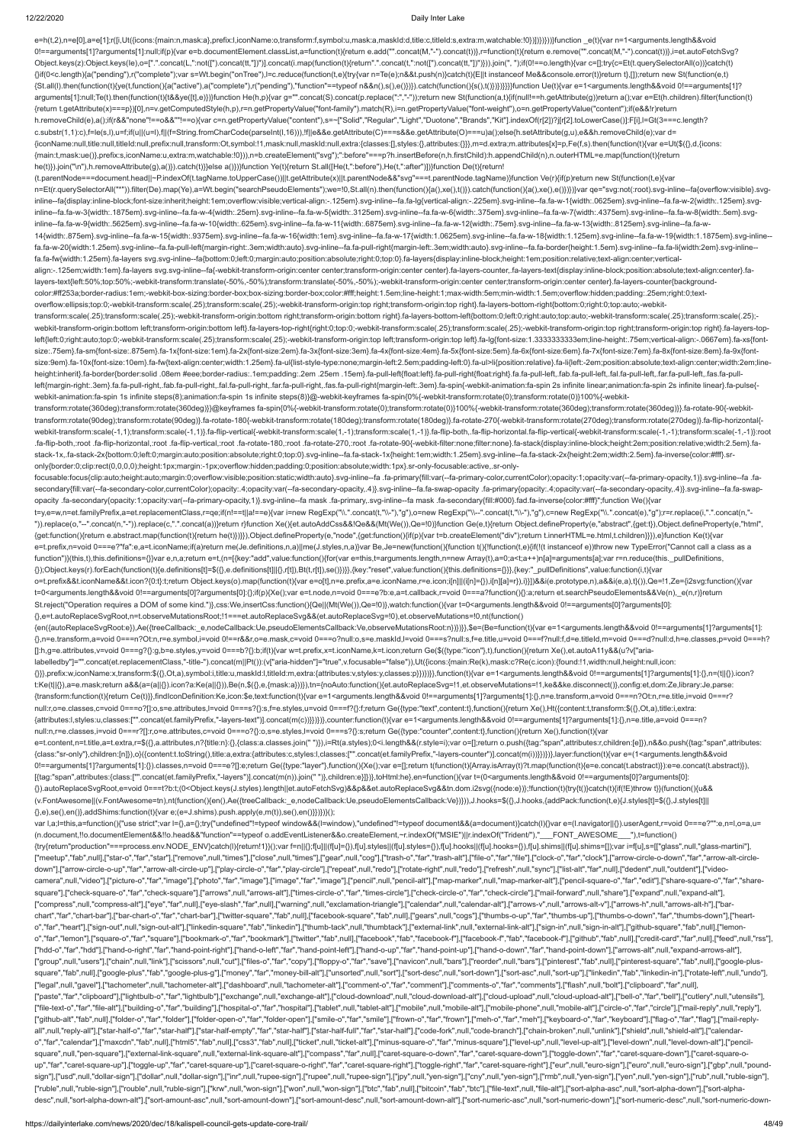e=h(t,2),n=e[0],a=e[1];r([i,Ut({icons:{main:n,mask:a},prefix:l,iconName:o,transform:f,symbol:u,mask:a,maskId:d,title:c,titleId:s,extra:m,watchable:!0})])})}))}function \_e(t){var n=1<arguments.length&&void 0!==arguments[1]?arguments[1]:null;if(p){var e=b.documentElement.classList,a=function(t){return e.add("".concat(M,"-").concat(M,"-").concat(M,freturn e.remove("".concat(M,"-").concat(t)},i=et.autoFetchSvg? Object.keys(z):Object.keys(le),o=[".".concat(L,":not([").concat(tt,"])")].concat(i.map(function(t){return".".concat(t,":not([").concat(tt,"])")}).join(", ");if(0!==o.length){var c=[];try{c=Et(t.querySelectorAll(o))}catch(t {}if(0<c.length){a("pending"),r("complete");var s=Wt.begin("onTree"),l=c.reduce(function(t,e){try{var n=Te(e);n&&t.push(n)}catch(t){E||t instanceof Me&&console.error(t)}return t},[]);return new St(function(e,t) {St.all(l).then(function(t){ye(t,function(){a("active"),a("complete"),r("pending"),"function"==typeof n&&n(),s(),e()})}).catch(function(){s(),t()})})}}}}function Ue(t){var e=1<arguments.length&&void 0!==arguments[1]? arguments[1]:null;Te(t).then(function(t){t&&ye([t],e)})}function He(h,p){var g="".concat(S).concat(p.replace(":","-"));return new St(function(a,t){if(null!==h.getAttribute(g))return a();var e=Et(h.children).filter(function {return t.getAttribute(x)===p})[0],n=v.getComputedStyle(h,p),r=n.getPropertyValue("font-family").match(R),i=n.getPropertyValue("font-weight"),o=n.getPropertyValue("content");if(e&&!r)return h.removeChild(e),a();if(r&&"none"!==o&&""!==o){var c=n.getPropertyValue("content"),s=~["Solid","Regular","Light","Duotone","Brands","Kit"].indexOf(r[2])?j[r[2].toLowerCase()]:F[i],l=Gt(3===c.length? c.substr(1,1):c),f=le(s,l),u=f;if(u||(u=l),f||(f=String.fromCharCode(parseInt(l,16))),!f||e&&e.getAttribute(C)===s&&e.getAttribute(O)===u)a();else{h.setAttribute(g,u),e&&h.removeChild(e);var d= {iconName:null,title:null,titleId:null,prefix:null,transform:Ot,symbol:!1,mask:null,maskId:null,extra:{classes:[],styles:{},attributes:{}}},m=d.extra;m.attributes[x]=p,Fe(f,s).then(function(t){var e=Ut(\$({},d,{icons: {main:t,mask:ue()},prefix:s,iconName:u,extra:m,watchable:!0})),n=b.createElement("svg");":before"===p?h.insertBefore(n,h.firstChild):h.appendChild(n),n.outerHTML=e.map(function(t){return he(t)}).join("\n"),h.removeAttribute(g),a()}).catch(t)}}else a()})}function Ye(t){return St.all([He(t,":before"),He(t,":after")])}function De(t){return! (t.parentNode===document.head||~P.indexOf(t.tagName.toUpperCase())||t.getAttribute(x)||t.parentNode&&"svg"===t.parentNode.tagName)}function Ve(r){if(p)return new St(function(t,e){var n=Et(r.querySelectorAll("\*")).filter(De).map(Ye),a=Wt.begin("searchPseudoElements");we=!0,St.all(n).then(function(){a(),xe(),t()}).catch(function(){a(),xe(),e()})}})var qe="svg:not(:root).svg-inline--fa{overflow:visible}.s inline--fa{display:inline-block;font-size:inherit;height:1em;overflow:visible;vertical-align:-.125em}.svg-inline--fa.fa-lg{vertical-align:-.225em}.svg-inline--fa.fa-w-1{width:.0625em}.svg-inline--fa.fa-w-2{width:.125em}.sv inline--fa.fa-w-3{width:.1875em}.svg-inline--fa.fa-w-4{width:.25em}.svg-inline--fa.fa-w-5{width:.3125em}.svg-inline--fa.fa-w-6{width:.375em}.svg-inline--fa.fa-w-7{width:.4375em}.svg-inline--fa.fa-w-8{width:.5em}.svg-inline inline--fa.fa-w-9{width:.5625em}.svg-inline--fa.fa-w-10{width:.625em}.svg-inline--fa.fa-w-11{width:.6875em}.svg-inline--fa.fa-w-12{width:.75em}.svg-inline--fa.fa-w-12{width:.625em}.svg-inline--fa.fa-w-12{width:.75em}.svg-i 14{width:.875em}.svg-inline--fa.fa-w-15{width:.9375em}.svg-inline--fa.fa-w-16{width:1em}.svg-inline--fa.fa-w-17{width:1.0625em}.svg-inline--fa.fa-w-18{width:1.125em}.svg-inline--fa.fa-w-19{width:1.1875em}.svg-inline- fa.fa-w-20{width:1.25em}.svg-inline--fa.fa-pull-left{margin-right:.3em;width:auto}.svg-inline--fa.fa-pull-right{margin-left:.3em;width:auto}.svg-inline--fa.fa-border{height:1.5em}.svg-inline--fa.fa-li{width:2em}.svg-inline- fa.fa-fw{width:1.25em}.fa-layers svg.svg-inline--fa{bottom:0;left:0;margin:auto;position:absolute;right:0;top:0}.fa-layers{display:inline-block;height:1em;position:relative;text-align:center;verticalalign:-.125em;width:1em}.fa-layers svg.svg-inline--fa{-webkit-transform-origin:center center;transform-origin:center center}.fa-layers-counter,.fa-layers-text{display:inline-block;position:absolute;text-align:center}.falayers-text{left:50%;top:50%;-webkit-transform:translate(-50%,-50%);transform:translate(-50%,-50%);-webkit-transform-origin:center center;transform-origin:center center}.fa-layers-counter{backgroundcolor:#ff253a;border-radius:1em;-webkit-box-sizing:border-box;box-sizing:border-box;color:#fff;height:1.5em;line-height:1;max-width:5em;min-width:1.5em;overflow:hidden;padding:.25em;right:0;textoverflow:ellipsis;top:0;-webkit-transform:scale(.25);transform:scale(.25);-webkit-transform-origin:top right;transform-origin:top right}.fa-layers-bottom-right{bottom:0;right:0;top:auto;-webkittransform:scale(.25);transform:scale(.25);-webkit-transform-origin:bottom right;transform-origin:bottom right}.fa-layers-bottom-left{bottom:0;left:0;right:auto;top:auto;-webkit-transform:scale(.25);transform:scale(.25); webkit-transform-origin:bottom left;transform-origin:bottom left}.fa-layers-top-right{right:0;top:0;-webkit-transform:scale(.25);transform:scale(.25);-webkit-transform-origin:top right;transform-origin:top right}.fa-layers left{left:0;right:auto;top:0;-webkit-transform:scale(.25);transform:scale(.25);-webkit-transform-origin:top left;transform-origin:top left}.fa-lg{font-size:1.3333333333333339m;line-height:.75em;vertical-align:-.0667em}.fasize:.75em}.fa-sm{font-size:.875em}.fa-1x{font-size:1em}.fa-2x{font-size:2em}.fa-3x{font-size:3em}.fa-4x{font-size:4em}.fa-5x{font-size:5em}.fa-6x{font-size:6em}.fa-6x{font-size:6em}.fa-6x{font-size:6em}.fa-6x{font-size:6e size:9em}.fa-10x{font-size:10em}.fa-fw{text-align:center;width:1.25em}.fa-ul{list-style-type:none;margin-left:2.5em;padding-left:0}.fa-ul>li{position:relative}.fa-li{left:-2em;position:absolute;text-align:center;width:2em; height:inherit).fa-border/border:solid .08em #eee;border-radius:.1em;padding:.2em .25em .15em}.fa-pull-left/float:left).fa-pull-right/float:right}.fa.fa-pull-left,.fab.fa-pull-left,.fab.fa-pull-left,.fal.fa-pull-left,.fab. left{margin-right:.3em}.fa.fa-pull-right,.fab.fa-pull-right,.fal.fa-pull-right,.fal.fa-pull-right,.far.fa-pull-right,.far.fa-pull-right,.fas.fa-pull-right,fas.fa-pull-right,fas.fa-pull-right(nargin-left:.3em}.fa-spin{-webk webkit-animation:fa-spin 1s infinite steps(8);animation:fa-spin 1s infinite steps(8)}@-webkit-keyframes fa-spin{0%{-webkit-transform:rotate(0);transform:rotate(0)}100%{-webkittransform:rotate(360deg);transform:rotate(360deg)}}@keyframes fa-spin{0%{-webkit-transform:rotate(0);transform:rotate(0)}100%{-webkit-transform:rotate(360deg);transform:rotate(360deg)}}.fa-rotate-90{-webkittransform:rotate(90deg);transform:rotate(90deg)}.fa-rotate-180{-webkit-transform:rotate(180deg);transform:rotate(180deg)}.fa-rotate-270{-webkit-transform:rotate(270deg);transform:rotate(270deg)}.fa-flip-horizontal{ webkit-transform:scale(-1,1);transform:scale(-1,1)};fa-flip-vertical{-webkit-transform:scale(1,-1);transform:scale(1,-1)};fa-flip-both..fa-flip-both..fa-flip-horizontal.fa-flip-vertical{-webkit-transform:scale(-1,-1)};root .fa-flip-vertical,:root .fa-flip-vertical,:root .fa-rotate-180,:root .fa-rotate-270,:root .fa-rotate-200,:root .fa-rotate-200,-root .fa-rotate-270,:root .fa-rotate-200,-root .fa-rotate-200,-root .fa-rotate-200,-root .fa-ro stack-1x,.fa-stack-2x{bottom:0;left:0;margin:auto;position:absolute;right:0;top:0}.svg-inline--fa.fa-stack-1x{height:1em;width:1.25em}.svg-inline--fa.fa-stack-2x{height:2em;width:2.5em}.fa-inverse{color:#fff}.sronly{border:0;clip:rect(0,0,0,0);height:1px;margin:-1px;overflow:hidden;padding:0;position:absolute;width:1px}.sr-only-focusable:active,.sr-onlyfocusable:focus{clip:auto;height:auto;margin:0;overflow:visible;position:static;width:auto}.svg-inline--fa .fa-primary{fill:var(--fa-primary-color,currentColor);opacity:1;opacity:1-a-primary-opacity,1)}.svg-inline--fa .fasecondary{fill:var(--fa-secondary-color,currentColor);opacity:.4;opacity:var(--fa-secondary-opacity,.4)}.svg-inline--fa.fa-swap-opacity .fa-primary{opacity:.4;opacity:.4;opacity-rar-secondary-opacity,.4)}.svg-inline--fa.fa opacity .fa-secondary{opacity:1;opacity:var(--fa-primary-opacity,1)}.svg-inline--fa mask .fa-primary,.svg-inline--fa mask .fa-secondary{fill:#000}.fad.fa-inverse{color:#fff}";function We(){var t=y,e=w,n=et.familyPrefix,a=et.replacementClass,r=qe;if(n!==t||a!==e){var i=new RegExp("\\.".concat(t,"\\-"),"g"),o=new RegExp("\\--".concat(t,"\\-"),"g"),c=new RegExp("\\.".concat(e),"g");r=r.replace(i,".".concat(n,"- ")).replace(o,"--".concat(n,"-")).replace(c,".".concat(a))}return r}function Xe(){et.autoAddCss&&!Qe&&(Mt(We()),Qe=!0)}function Ge(e,t){return Object.defineProperty(e,"abstract",{get:t}),Object.defineProperty(e,"html", {get:function(){return e.abstract.map(function(t){return he(t)})}}),Object.defineProperty(e,"node",{get:function(){if(p){var t=b.createElement("div");return t.innerHTML=e.html,t.children}}}),e}function Ke(t){var e=t.prefix,n=void 0===e?"fa":e,a=t.iconName;if(a)return me(Je.definitions,n,a)||me(J.styles,n,a)}var Be,Je=new(function(){function t(){!function(t,e){if(!(t instanceof e))throw new TypeError("Cannot call a class as a function")}(this,t),this.definitions={}}var e,n,a;return e=t,(n=[{key:"add",value:function(){for(var e=this,t=arguments.length,n=new Array(t),a=0;a<t;a++)n[a]=arguments[a];var r=n.reduce(this.\_pullDefinitions, {});Object.keys(r).forEach(function(t){e.definitions[t]=\$({},e.definitions[t]||{},r[t]),Bt(t,r[t]),se()})}},{key:"reset",value:function(){this.definitions={}}},{key:"\_pullDefinitions",value:function(i,t){var o=t.prefix&&t.iconName&&t.icon?{0:t}:t;return Object.keys(o).map(function(t){var e=o[t],n=e.prefix,a=e.iconName,r=e.icon;i[n]||(i[n]={}),i[n][a]=r}),i}}])&&i(e.prototype,n),a&&i(e,a),t}()),Qe=!1,Ze={i2svg:function(){var t=0<arguments.length&&void 0!==arguments[0]?arguments[0]:{};if(p){Xe();var e=t.node,n=void 0===e?b:e,a=t.callback,r=void 0===a?function(){}:a;return et.searchPseudoElements&&Ve(n),\_e(n,r)}return St.reject("Operation requires a DOM of some kind.")},css:We,insertCss:function(){Qe||(Mt(We()),Qe=!0)},watch:function(){var t=0<arguments.length&&void 0!==arguments[0]?arguments[0]: {},e=t.autoReplaceSvgRoot,n=t.observeMutationsRoot;!1===et.autoReplaceSvg&&(et.autoReplaceSvg=!0),et.observeMutations=!0,nt(function() {en({autoReplaceSvgRoot:e}),Ae({treeCallback:\_e,nodeCallback:Ue,pseudoElementsCallback:Ve,observeMutationsRoot:n})})}},\$e=(Be=function(t){var e=1<arguments.length&&void 0!==arguments[1]?arguments[1]: {},n=e.transform,a=void 0===n?Ot:n,r=e.symbol,i=void 0!==r&&r,o=e.mask,c=void 0===o?null:o,s=e.maskId,l=void 0===s?null:s,f=e.title,u=void 0===f?null:f,d=e.titleId,m=void 0===d?null:d,h=e.classes,p=void 0===h? []:h,g=e.attributes,v=void 0===g?{}:g,b=e.styles,y=void 0===b?{}:b;if(t){var w=t.prefix,x=t.iconName,k=t.icon;return Ge(\$({type:"icon"},t),function(){return Xe(),et.autoA11y&&(u?v["arialabelledby"]="".concat(et.replacementClass,"-title-").concat(m||Pt()):(v["aria-hidden"]="true",v.focusable="false")),Ut({icons:{main:Re(k),mask:c?Re(c.icon):{found:!1,width:null,height:null,icon: {}}},prefix:w,iconName:x,transform:\$({},Ot,a),symbol:i,title:u,maskId:l,titleId:m,extra:{attributes:v,styles:y,classes:p}})})}},function(t){var e=1<arguments.length&&void 0!==arguments[1]?arguments[1]:{},n=(t||{}).icon? t:Ke(t||{}),a=e.mask;return a&&(a=(a||{}).icon?a:Ke(a||{})),Be(n,\$({},e,{mask:a}))}),tn={noAuto:function(){et.autoReplaceSvg=!1,et.observeMutations=!1,ke&&ke.disconnect()},config:et,dom:Ze,library:Je,parse: {transform:function(t){return Ce(t)}},findIconDefinition:Ke,icon:\$e,text:function(t){var e=1<arguments.length&&void 0!==arguments[1]?arguments[1]:{},n=e.transform,a=void 0===n?Ot:n,r=e.title,i=void 0===r? null:r,o=e.classes,c=void 0===o?[]:o,s=e.attributes,l=void 0===s?{}:s,f=e.styles,u=void 0===f?{}:f;return Ge({type:"text",content:t},function(){return Xe(),Ht({content:t,transform:\$({},Ot,a),title:i,extra: {attributes:l,styles:u,classes:["".concat(et.familyPrefix,"-layers-text")].concat(m(c))}})})},counter:function(t){var e=1<arguments.length&&void 0!==arguments[1]?arguments[1]:{},n=e.title,a=void 0===n? null:n,r=e.classes,i=void 0===r?[]:r,o=e.attributes,c=void 0===o?{}:o,s=e.styles,l=void 0===s?{}:s;return Ge({type:"counter",content:t},function(){return Xe(),function(t){var e=t.content,n=t.title,a=t.extra,r=\$({},a.attributes,n?{title:n}:{},{class:a.classes.join(" "})},i=Rt(a.styles);0<i.length&&(r.style=i);var o=[];return o.push({tag:"span",attributes:r,children:[e]}),n&&o.push({tag:"span",at {class:"sr-only"},children:[n]}),o}({content:t.toString(),title:a,extra:{attributes:c,styles:l,classes:["".concat(et.familyPrefix,"-layers-counter")].concat(m(i))}})})},layer:function(t){var e=(1<arguments.length&&void 0!==arguments[1]?arguments[1]:{}).classes,n=void 0===e?[]:e;return Ge({type:"layer"},function(){Xe();var e=[];return t(function(t){Array.isArray(t)?t.map(function(t){e=e.concat(t.abstract)}):e=e.concat(t.abstract)}), [{tag:"span",attributes:{class:["".concat(et.familyPrefix,"-layers")].concat(m(n)).join(" ")},children:e}]})},toHtml:he},en=function(){var t=(0<arguments.length&&void 0!==arguments[0]?arguments[0]: {}).autoReplaceSvgRoot,e=void 0===t?b:t;(0<Object.keys(J.styles).length||et.autoFetchSvg)&&p&&et.autoReplaceSvg&&tn.dom.i2svg({node:e})};!function(t){try{t()}catch(t){if(!E)throw t}}(function(){u&& (v.FontAwesome||(v.FontAwesome=tn),nt(function(){en(),Ae({treeCallback:\_e,nodeCallback:Ue,pseudoElementsCallback:Ve})})),J.hooks=\$({},J.hooks,{addPack:function(t,e){J.styles[t]=\$({},J.styles[t]|| {},e),se(),en()},addShims:function(t){var e;(e=J.shims).push.apply(e,m(t)),se(),en()}})})}(); var l,a;l=this,a=function(){"use strict";var l={},a={};try{"undefined"!=typeof window&&(l=window),"undefined"!=typeof document&&(a=document)}catch(l){}var e=(l.navigator||{}).userAgent,r=void 0===e?"":e,n=l,o=a,u=

(n.document,!!o.documentElement&&!!o.head&&"function"==typeof o.addEventListener&&o.createElement,~r.indexOf("MSIE")||r.indexOf("Trident/"),"\_\_\_FONT\_AWESOME\_\_\_"),t=function() {try{return"production"===process.env.NODE\_ENV}catch(l){return!1}}();var f=n||{};f[u]||(f[u]={}),f[u].styles||(f[u].styles={}),f[u].hooks||(f[u].hooks={}),f[u].shims||(f[u].shims=[]);var i=f[u],s=[["glass",null,"glass-mart ["meetup","fab",null],["star-o","far","star"],["remove",null,"times"],["close",null,"times"],["gear",null,"trash-o","far","trash-alt"],["file-o","far","fale"],["clock-o","far","clock"],["arrow-circle-o-down","far","arrow-a

down"],["arrow-circle-o-up","far","arrow-alt-circle-up"],["play-circle-o","far","play-circle"],["repeat",null,"redo"],["rotate-right",null,"redo"],["refresh",null,"sync"],["list-alt","far","far","farl","dedent"],["videocamera",null,"video"],["picture-o","far","image"],["photo","far","image"],["image","far","image"],["pencil",null,"pencil-alt"],["map-marker",null,"map-marker-alt"],["pencil-square-o","far","edit"],["share-square-o","far"," square"],["check-square-o","far","check-square"],["arrows",null,"arrows-alt"],["times-circle-o","far","times-circle"],["check-circle-o","far","check-circle-o","far","check-circle-o","far","check-circle-o","far","check-circ ["compress",null,"compress-alt"],["eye","far",null],["eye-slash","far",null],["warning",null,"exclamation-triangle"],["calendar",null,"calendar-alt"],["arrows-v",null,"arrows-alt-v"],["arrows-h",null,"arrows-alt-h"],["barchart","far","chart-bar"],["bar-chart-o","far","chart-bar"],["twitter-square","fab",null],["facebook-square","fab",null],["gears",null,]"gears",null,"cogs"],["thumbs-o-up","far","thumbs-o-down","far","thumbs-o-down","far", o","far","heart"],["sign-out",null,"sign-out-alt"],["linkedin-square","fab","linkedin"],["thumb-tack",null,"thumbtack"],["external-link",null,"external-link-alt"],["sign-in",null,"sign-in-alt"],["github-square","fab",null] o","far","lemon"],["square-o","far","square"],["bookmark-o","far","bookmark"],["twitter","fab",null],["facebook","fab","facebook-f"],["facebook-f","fab","fab","fab","fab","fab",mull],["facebook-f"],["facebook-f"],["faceboo ["hdd-o","far","hdd"],["hand-o-right","far","hand-point-right"],["hand-o-left","far","hand-point-left"],["hand-o-up","far","hand-point-up"],["hand-o-down","far","hand-point-down"],["arrows-alt",null,"expand-arrows-alt"], ["group",null,"users"],["chain",null,"link"],["scissors",null,"cut"],["files-o","far","copy"],["floppy-o","far","save"],["navicon",null,"bars"],["reorder",null,"bars"],["pinterest","fab",null],["pinterest-square","fab",nul square","fab",null],["google-plus","fab","google-plus-g"],["money","far","money-bill-alt"],["unsorted",null,"sort-desc",null,"sort-down"],["sort-asc",null,"sort-up"],["inkedin","fab","linkedin-in"],["rotate-left",null,"und ["legal",null,"gavel"],["tachometer",null,"tachometer-alt"],["dashboard",null,"tachometer-alt"],["comment-o","far","comment"],["comments-o","far","comments"],["flash",null,"bolt"],["clipboard","far",null], ["paste","far","clipboard"],["lightbulb-o","far","lightbulb"],["exchange",null,"exchange-alt"],["cloud-download",null,"cloud-download-alt"],["cloud-upload",null,"cloud-upload-alt"],["bell-o","far","bell"],["cutlery",null," ["file-text-o","far","file-alt"],["building-o","far","building"],["hospital-o","far","hospital"],["tablet",null,"tablet-alt"],["mobile-alt"],["mobile-phone",null,"mobile-alt"],["mobile-alt"],["circle-o","far","circle"],["m ["github-alt","fab",null],["folder-o","far","folder"],["folder-open-o","far","folder-open"],["smile-o","far","smile"],["fown-o","far","frown"],["meh-o","far","meh"],["keyboard-o","far","keyboard"],["flag-o","far","falg"],[ all",null,"reply-all"],["star-half-o","far","star-half"],["star-half-empty","far","star-half"],["star-half-full","far","star-half-full","far","star-half"],["code-fork",null,"code-branch"],["chain-broken",null,"unlink"],["s o","far","calendar"],["maxcdn","fab",null],["html5","fab",null],["css3","fab",null],["css3","fab",null],["cket",null],"["cket",null],"tecket",null],"texel-down-alt"],["ninus-square-o","far","minus-square"],["level-up",null square",null,"pen-square"],["external-link-square",null,"external-link-square-alt"],["compass","far",null],["caret-square-o-down","far","caret-square-down"],["toggle-down","far","caret-square-down"],["caret-square-oup","far","caret-square-up"),["toggle-up","far","caret-square-up"],["caret-square-o-right","far","caret-square-right"],["toggle-right","far","caret-square-right"],["toggle-right","far","caret-square-square-right"],["toggle sign"],["usd",null,"dollar-sign"],["dollar",null,"dollar-sign"],["inr",null,"rupee-sign"],["inpee-sign"],["inpee-sign"],["inpee-sign"],["ppy",null,"yen-sign"],["cny",null,"yen-sign"],["rmb",null,"yen-sign"],["ryen",null,"y ["ruble",null,"ruble-sign"],["rouble",null,"ruble-sign"],["krw",null,"won-sign"],["won",null,"won-sign"],["bitc","fab",null],["bitcoin","fab","bitc"],["ile-text",null,"file-alt"],["sort-alpha-asc",null,"sort-alpha-down"],[ desc",null,"sort-alpha-down-alt"],["sort-amount-asc",null,"sort-amount-down"],["sort-amount-desc",null,"sort-amount-down-alt"],["sort-numeric-asc",null,"sort-numeric-down"],["sort-numeric-desc",null,"sort-numeric-down-